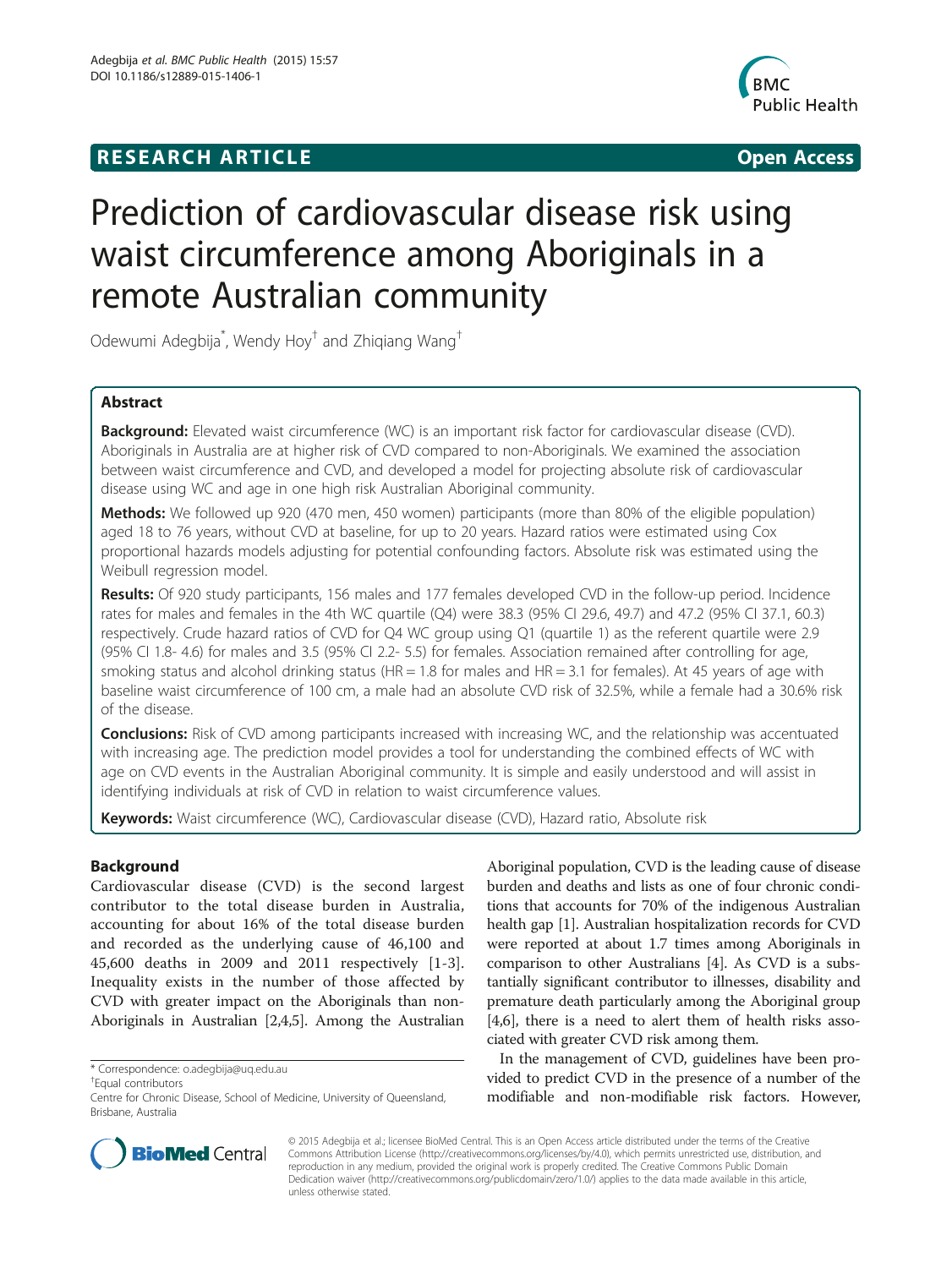# **RESEARCH ARTICLE Example 2014 12:30 The SEAR CHIPS 2014 12:30 The Open Access**



# Prediction of cardiovascular disease risk using waist circumference among Aboriginals in a remote Australian community

Odewumi Adegbija $\degree$ , Wendy Hoy $^\dagger$  and Zhiqiang Wang $^\dagger$ 

# Abstract

Background: Elevated waist circumference (WC) is an important risk factor for cardiovascular disease (CVD). Aboriginals in Australia are at higher risk of CVD compared to non-Aboriginals. We examined the association between waist circumference and CVD, and developed a model for projecting absolute risk of cardiovascular disease using WC and age in one high risk Australian Aboriginal community.

Methods: We followed up 920 (470 men, 450 women) participants (more than 80% of the eligible population) aged 18 to 76 years, without CVD at baseline, for up to 20 years. Hazard ratios were estimated using Cox proportional hazards models adjusting for potential confounding factors. Absolute risk was estimated using the Weibull regression model.

Results: Of 920 study participants, 156 males and 177 females developed CVD in the follow-up period. Incidence rates for males and females in the 4th WC quartile (Q4) were 38.3 (95% CI 29.6, 49.7) and 47.2 (95% CI 37.1, 60.3) respectively. Crude hazard ratios of CVD for Q4 WC group using Q1 (quartile 1) as the referent quartile were 2.9 (95% CI 1.8- 4.6) for males and 3.5 (95% CI 2.2- 5.5) for females. Association remained after controlling for age, smoking status and alcohol drinking status (HR = 1.8 for males and HR = 3.1 for females). At 45 years of age with baseline waist circumference of 100 cm, a male had an absolute CVD risk of 32.5%, while a female had a 30.6% risk of the disease.

**Conclusions:** Risk of CVD among participants increased with increasing WC, and the relationship was accentuated with increasing age. The prediction model provides a tool for understanding the combined effects of WC with age on CVD events in the Australian Aboriginal community. It is simple and easily understood and will assist in identifying individuals at risk of CVD in relation to waist circumference values.

Keywords: Waist circumference (WC), Cardiovascular disease (CVD), Hazard ratio, Absolute risk

## **Background**

Cardiovascular disease (CVD) is the second largest contributor to the total disease burden in Australia, accounting for about 16% of the total disease burden and recorded as the underlying cause of 46,100 and 45,600 deaths in 2009 and 2011 respectively [\[1-3](#page-7-0)]. Inequality exists in the number of those affected by CVD with greater impact on the Aboriginals than non-Aboriginals in Australian [[2,4,5](#page-7-0)]. Among the Australian

\* Correspondence: [o.adegbija@uq.edu.au](mailto:o.adegbija@uq.edu.au) †

<sup>+</sup>Equal contributors

Aboriginal population, CVD is the leading cause of disease burden and deaths and lists as one of four chronic conditions that accounts for 70% of the indigenous Australian health gap [\[1](#page-7-0)]. Australian hospitalization records for CVD were reported at about 1.7 times among Aboriginals in comparison to other Australians [\[4](#page-7-0)]. As CVD is a substantially significant contributor to illnesses, disability and premature death particularly among the Aboriginal group [[4,](#page-7-0)[6\]](#page-8-0), there is a need to alert them of health risks associated with greater CVD risk among them.

In the management of CVD, guidelines have been provided to predict CVD in the presence of a number of the modifiable and non-modifiable risk factors. However,



© 2015 Adegbija et al.; licensee BioMed Central. This is an Open Access article distributed under the terms of the Creative Commons Attribution License [\(http://creativecommons.org/licenses/by/4.0\)](http://creativecommons.org/licenses/by/4.0), which permits unrestricted use, distribution, and reproduction in any medium, provided the original work is properly credited. The Creative Commons Public Domain Dedication waiver [\(http://creativecommons.org/publicdomain/zero/1.0/](http://creativecommons.org/publicdomain/zero/1.0/)) applies to the data made available in this article, unless otherwise stated.

Centre for Chronic Disease, School of Medicine, University of Queensland, Brisbane, Australia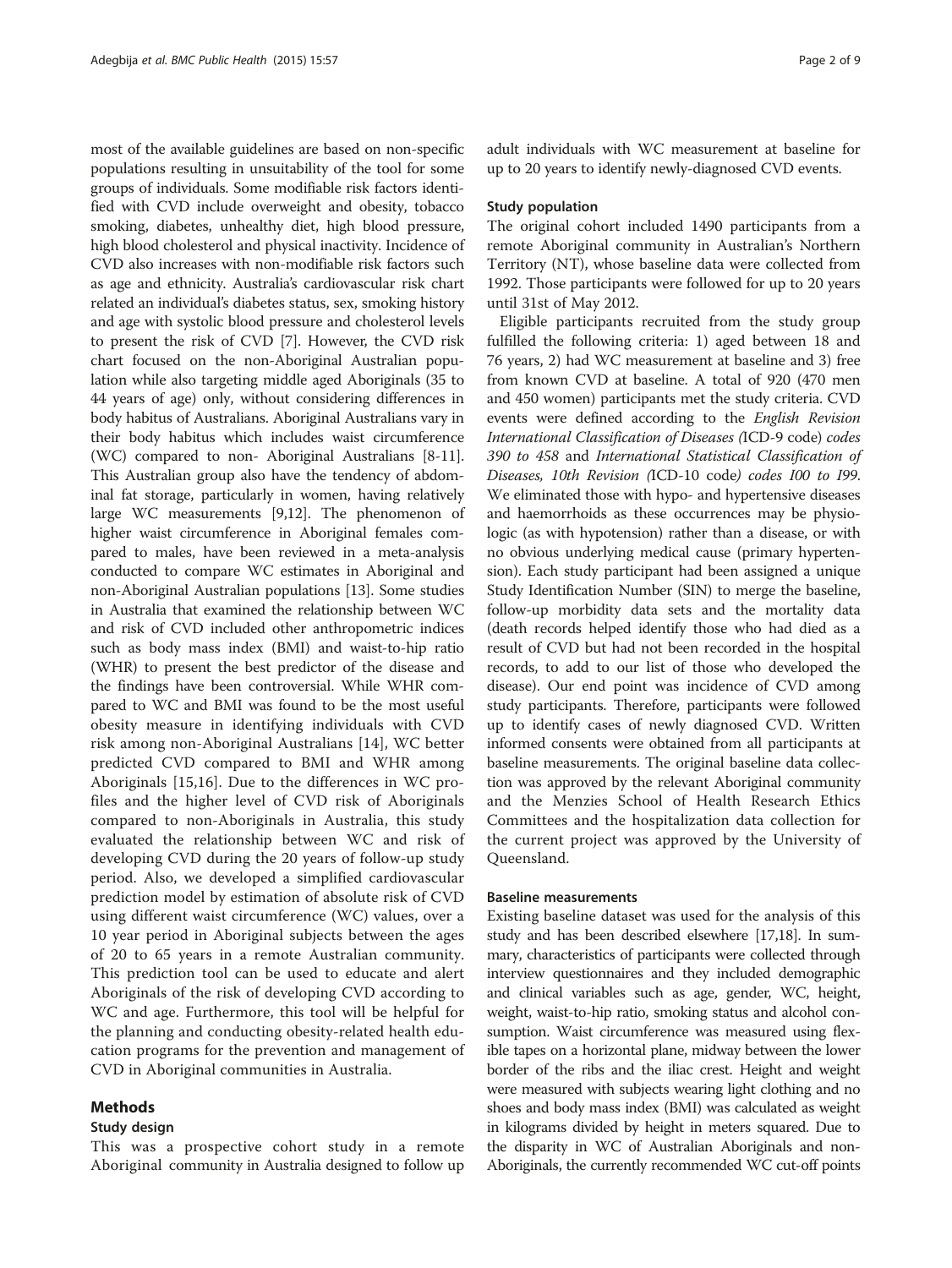most of the available guidelines are based on non-specific populations resulting in unsuitability of the tool for some groups of individuals. Some modifiable risk factors identified with CVD include overweight and obesity, tobacco smoking, diabetes, unhealthy diet, high blood pressure, high blood cholesterol and physical inactivity. Incidence of CVD also increases with non-modifiable risk factors such as age and ethnicity. Australia's cardiovascular risk chart related an individual's diabetes status, sex, smoking history and age with systolic blood pressure and cholesterol levels to present the risk of CVD [\[7](#page-8-0)]. However, the CVD risk chart focused on the non-Aboriginal Australian population while also targeting middle aged Aboriginals (35 to 44 years of age) only, without considering differences in body habitus of Australians. Aboriginal Australians vary in their body habitus which includes waist circumference (WC) compared to non- Aboriginal Australians [\[8](#page-8-0)-[11](#page-8-0)]. This Australian group also have the tendency of abdominal fat storage, particularly in women, having relatively large WC measurements [[9,12](#page-8-0)]. The phenomenon of higher waist circumference in Aboriginal females compared to males, have been reviewed in a meta-analysis conducted to compare WC estimates in Aboriginal and non-Aboriginal Australian populations [\[13\]](#page-8-0). Some studies in Australia that examined the relationship between WC and risk of CVD included other anthropometric indices such as body mass index (BMI) and waist-to-hip ratio (WHR) to present the best predictor of the disease and the findings have been controversial. While WHR compared to WC and BMI was found to be the most useful obesity measure in identifying individuals with CVD risk among non-Aboriginal Australians [\[14](#page-8-0)], WC better predicted CVD compared to BMI and WHR among Aboriginals [\[15](#page-8-0),[16\]](#page-8-0). Due to the differences in WC profiles and the higher level of CVD risk of Aboriginals compared to non-Aboriginals in Australia, this study evaluated the relationship between WC and risk of developing CVD during the 20 years of follow-up study period. Also, we developed a simplified cardiovascular prediction model by estimation of absolute risk of CVD using different waist circumference (WC) values, over a 10 year period in Aboriginal subjects between the ages of 20 to 65 years in a remote Australian community. This prediction tool can be used to educate and alert Aboriginals of the risk of developing CVD according to WC and age. Furthermore, this tool will be helpful for the planning and conducting obesity-related health education programs for the prevention and management of CVD in Aboriginal communities in Australia.

### Methods

#### Study design

This was a prospective cohort study in a remote Aboriginal community in Australia designed to follow up adult individuals with WC measurement at baseline for up to 20 years to identify newly-diagnosed CVD events.

#### Study population

The original cohort included 1490 participants from a remote Aboriginal community in Australian's Northern Territory (NT), whose baseline data were collected from 1992. Those participants were followed for up to 20 years until 31st of May 2012.

Eligible participants recruited from the study group fulfilled the following criteria: 1) aged between 18 and 76 years, 2) had WC measurement at baseline and 3) free from known CVD at baseline. A total of 920 (470 men and 450 women) participants met the study criteria. CVD events were defined according to the English Revision International Classification of Diseases (ICD-9 code) codes 390 to 458 and International Statistical Classification of Diseases, 10th Revision (ICD-10 code) codes I00 to I99. We eliminated those with hypo- and hypertensive diseases and haemorrhoids as these occurrences may be physiologic (as with hypotension) rather than a disease, or with no obvious underlying medical cause (primary hypertension). Each study participant had been assigned a unique Study Identification Number (SIN) to merge the baseline, follow-up morbidity data sets and the mortality data (death records helped identify those who had died as a result of CVD but had not been recorded in the hospital records, to add to our list of those who developed the disease). Our end point was incidence of CVD among study participants. Therefore, participants were followed up to identify cases of newly diagnosed CVD. Written informed consents were obtained from all participants at baseline measurements. The original baseline data collection was approved by the relevant Aboriginal community and the Menzies School of Health Research Ethics Committees and the hospitalization data collection for the current project was approved by the University of Queensland.

#### Baseline measurements

Existing baseline dataset was used for the analysis of this study and has been described elsewhere [[17,18](#page-8-0)]. In summary, characteristics of participants were collected through interview questionnaires and they included demographic and clinical variables such as age, gender, WC, height, weight, waist-to-hip ratio, smoking status and alcohol consumption. Waist circumference was measured using flexible tapes on a horizontal plane, midway between the lower border of the ribs and the iliac crest. Height and weight were measured with subjects wearing light clothing and no shoes and body mass index (BMI) was calculated as weight in kilograms divided by height in meters squared. Due to the disparity in WC of Australian Aboriginals and non-Aboriginals, the currently recommended WC cut-off points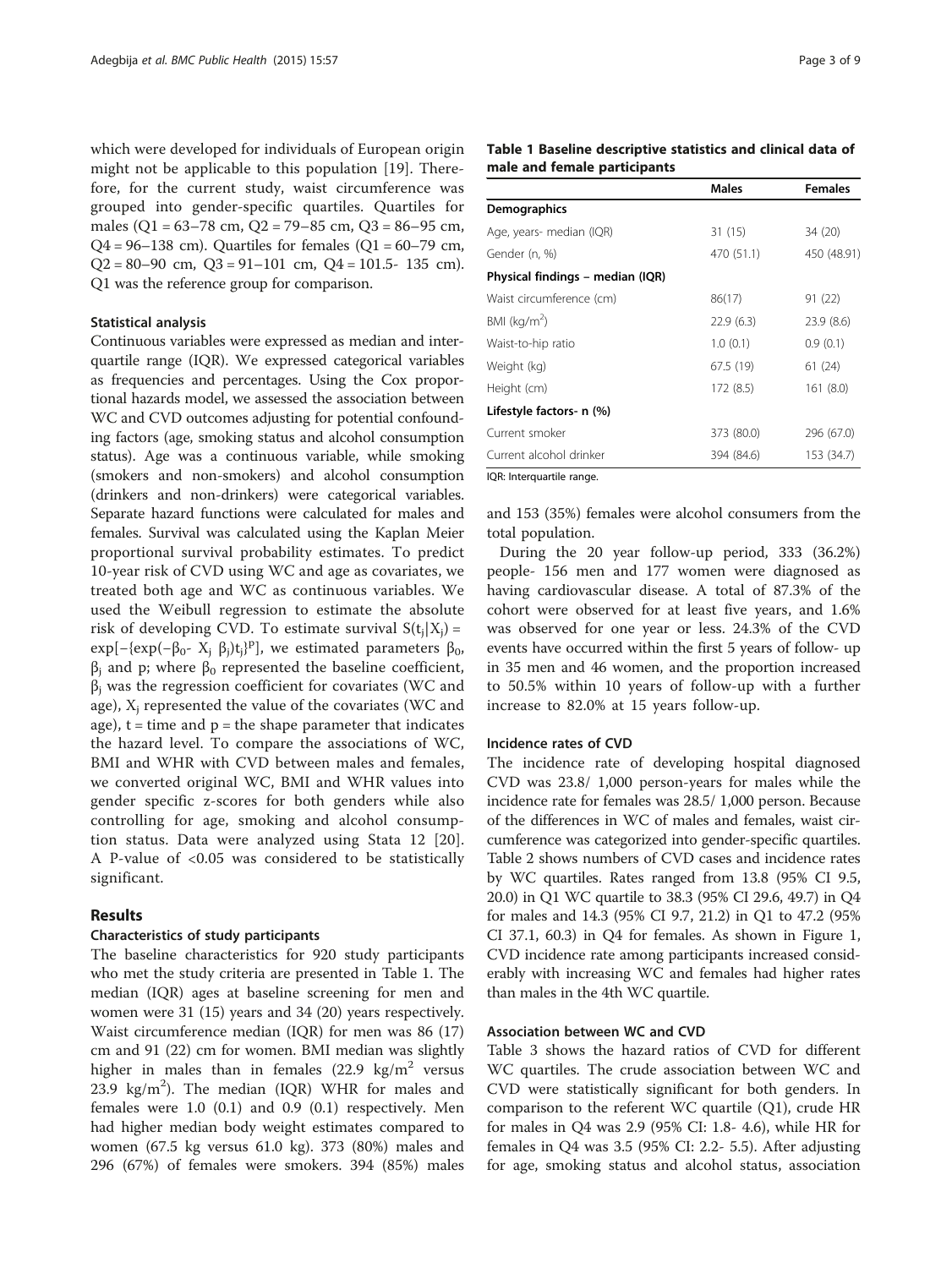which were developed for individuals of European origin might not be applicable to this population [\[19](#page-8-0)]. Therefore, for the current study, waist circumference was grouped into gender-specific quartiles. Quartiles for males (Q1 = 63–78 cm, Q2 = 79–85 cm, Q3 = 86–95 cm,  $Q4 = 96 - 138$  cm). Quartiles for females ( $Q1 = 60 - 79$  cm,  $Q2 = 80 - 90$  cm,  $Q3 = 91 - 101$  cm,  $Q4 = 101.5 - 135$  cm). Q1 was the reference group for comparison.

#### Statistical analysis

Continuous variables were expressed as median and interquartile range (IQR). We expressed categorical variables as frequencies and percentages. Using the Cox proportional hazards model, we assessed the association between WC and CVD outcomes adjusting for potential confounding factors (age, smoking status and alcohol consumption status). Age was a continuous variable, while smoking (smokers and non-smokers) and alcohol consumption (drinkers and non-drinkers) were categorical variables. Separate hazard functions were calculated for males and females. Survival was calculated using the Kaplan Meier proportional survival probability estimates. To predict 10-year risk of CVD using WC and age as covariates, we treated both age and WC as continuous variables. We used the Weibull regression to estimate the absolute risk of developing CVD. To estimate survival  $S(t_i|X_i)$  = exp[-{exp(-β<sub>0</sub>- X<sub>j</sub> β<sub>j</sub>)t<sub>j</sub>}<sup>p</sup>], we estimated parameters β<sub>0</sub>,  $β$ <sub>i</sub> and p; where  $β$ <sub>0</sub> represented the baseline coefficient,  $β<sub>i</sub>$  was the regression coefficient for covariates (WC and age),  $X_i$  represented the value of the covariates (WC and age),  $t =$  time and  $p =$  the shape parameter that indicates the hazard level. To compare the associations of WC, BMI and WHR with CVD between males and females, we converted original WC, BMI and WHR values into gender specific z-scores for both genders while also controlling for age, smoking and alcohol consumption status. Data were analyzed using Stata 12 [[20](#page-8-0)]. A P-value of <0.05 was considered to be statistically significant.

#### Results

#### Characteristics of study participants

The baseline characteristics for 920 study participants who met the study criteria are presented in Table 1. The median (IQR) ages at baseline screening for men and women were 31 (15) years and 34 (20) years respectively. Waist circumference median (IQR) for men was 86 (17) cm and 91 (22) cm for women. BMI median was slightly higher in males than in females  $(22.9 \text{ kg/m}^2 \text{ versus}$ 23.9  $\text{kg/m}^2$ ). The median (IQR) WHR for males and females were 1.0 (0.1) and 0.9 (0.1) respectively. Men had higher median body weight estimates compared to women (67.5 kg versus 61.0 kg). 373 (80%) males and 296 (67%) of females were smokers. 394 (85%) males

Table 1 Baseline descriptive statistics and clinical data of male and female participants

|                                  | <b>Males</b>              | <b>Females</b> |
|----------------------------------|---------------------------|----------------|
| <b>Demographics</b>              |                           |                |
| Age, years- median (IQR)         | 31(15)                    | 34 (20)        |
| Gender (n, %)                    | 470 (51.1)<br>450 (48.91) |                |
| Physical findings - median (IQR) |                           |                |
| Waist circumference (cm)         | 86(17)                    | 91(22)         |
| BMI ( $kg/m2$ )                  | 22.9(6.3)                 | 23.9(8.6)      |
| Waist-to-hip ratio               | 1.0(0.1)                  | 0.9(0.1)       |
| Weight (kg)                      | 67.5 (19)                 | 61(24)         |
| Height (cm)                      | 172 (8.5)                 | 161(8.0)       |
| Lifestyle factors- n (%)         |                           |                |
| Current smoker                   | 373 (80.0)                | 296 (67.0)     |
| Current alcohol drinker          | 394 (84.6)                | 153 (34.7)     |
|                                  |                           |                |

IQR: Interquartile range.

and 153 (35%) females were alcohol consumers from the total population.

During the 20 year follow-up period, 333 (36.2%) people- 156 men and 177 women were diagnosed as having cardiovascular disease. A total of 87.3% of the cohort were observed for at least five years, and 1.6% was observed for one year or less. 24.3% of the CVD events have occurred within the first 5 years of follow- up in 35 men and 46 women, and the proportion increased to 50.5% within 10 years of follow-up with a further increase to 82.0% at 15 years follow-up.

#### Incidence rates of CVD

The incidence rate of developing hospital diagnosed CVD was 23.8/ 1,000 person-years for males while the incidence rate for females was 28.5/ 1,000 person. Because of the differences in WC of males and females, waist circumference was categorized into gender-specific quartiles. Table [2](#page-3-0) shows numbers of CVD cases and incidence rates by WC quartiles. Rates ranged from 13.8 (95% CI 9.5, 20.0) in Q1 WC quartile to 38.3 (95% CI 29.6, 49.7) in Q4 for males and 14.3 (95% CI 9.7, 21.2) in Q1 to 47.2 (95% CI 37.1, 60.3) in Q4 for females. As shown in Figure [1](#page-3-0), CVD incidence rate among participants increased considerably with increasing WC and females had higher rates than males in the 4th WC quartile.

#### Association between WC and CVD

Table [3](#page-4-0) shows the hazard ratios of CVD for different WC quartiles. The crude association between WC and CVD were statistically significant for both genders. In comparison to the referent WC quartile (Q1), crude HR for males in Q4 was 2.9 (95% CI: 1.8- 4.6), while HR for females in Q4 was 3.5 (95% CI: 2.2- 5.5). After adjusting for age, smoking status and alcohol status, association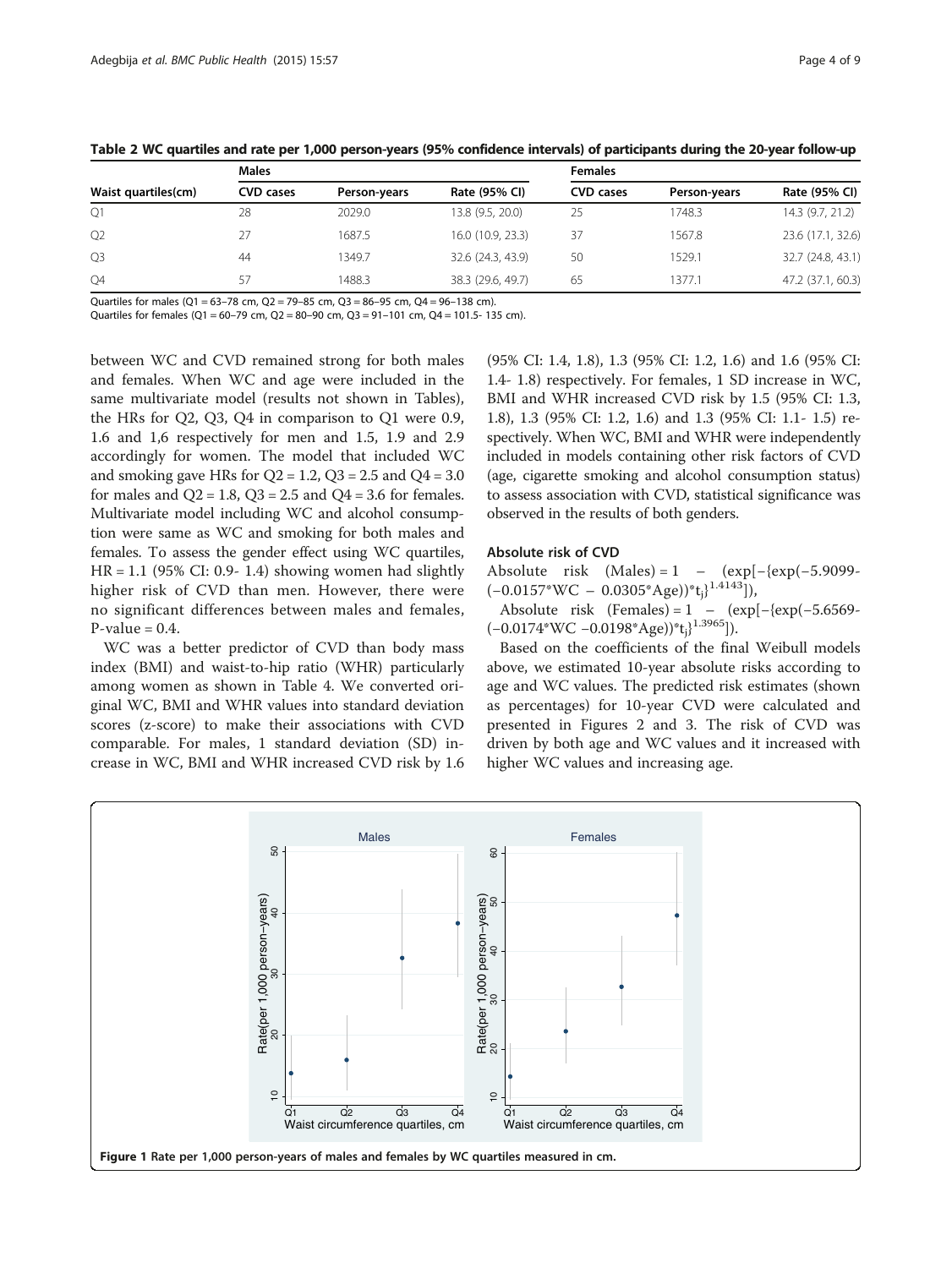|                     |                  | Males        |                   |                  | <b>Females</b> |                   |  |
|---------------------|------------------|--------------|-------------------|------------------|----------------|-------------------|--|
| Waist quartiles(cm) | <b>CVD</b> cases | Person-years | Rate (95% CI)     | <b>CVD</b> cases | Person-years   | Rate (95% CI)     |  |
| Q1                  | 28               | 2029.0       | 13.8 (9.5, 20.0)  | 25               | 1748.3         | 14.3 (9.7, 21.2)  |  |
| Q <sub>2</sub>      |                  | 1687.5       | 16.0 (10.9, 23.3) | 37               | 1567.8         | 23.6 (17.1, 32.6) |  |
| Q <sub>3</sub>      | 44               | 1349.7       | 32.6 (24.3, 43.9) | 50               | 1529.1         | 32.7 (24.8, 43.1) |  |
| Q4                  | 57               | 1488.3       | 38.3 (29.6, 49.7) | 65               | 1377.1         | 47.2 (37.1, 60.3) |  |

<span id="page-3-0"></span>Table 2 WC quartiles and rate per 1,000 person-years (95% confidence intervals) of participants during the 20-year follow-up

Quartiles for males (Q1 = 63–78 cm, Q2 = 79–85 cm, Q3 = 86–95 cm, Q4 = 96–138 cm).

Quartiles for females (Q1 = 60–79 cm, Q2 = 80–90 cm, Q3 = 91–101 cm, Q4 = 101.5- 135 cm).

between WC and CVD remained strong for both males and females. When WC and age were included in the same multivariate model (results not shown in Tables), the HRs for Q2, Q3, Q4 in comparison to Q1 were 0.9, 1.6 and 1,6 respectively for men and 1.5, 1.9 and 2.9 accordingly for women. The model that included WC and smoking gave HRs for  $Q2 = 1.2$ ,  $Q3 = 2.5$  and  $Q4 = 3.0$ for males and  $Q2 = 1.8$ ,  $Q3 = 2.5$  and  $Q4 = 3.6$  for females. Multivariate model including WC and alcohol consumption were same as WC and smoking for both males and females. To assess the gender effect using WC quartiles,  $HR = 1.1$  (95% CI: 0.9- 1.4) showing women had slightly higher risk of CVD than men. However, there were no significant differences between males and females,  $P$ -value = 0.4.

WC was a better predictor of CVD than body mass index (BMI) and waist-to-hip ratio (WHR) particularly among women as shown in Table [4](#page-4-0). We converted original WC, BMI and WHR values into standard deviation scores (z-score) to make their associations with CVD comparable. For males, 1 standard deviation (SD) increase in WC, BMI and WHR increased CVD risk by 1.6 (95% CI: 1.4, 1.8), 1.3 (95% CI: 1.2, 1.6) and 1.6 (95% CI: 1.4- 1.8) respectively. For females, 1 SD increase in WC, BMI and WHR increased CVD risk by 1.5 (95% CI: 1.3, 1.8), 1.3 (95% CI: 1.2, 1.6) and 1.3 (95% CI: 1.1- 1.5) respectively. When WC, BMI and WHR were independently included in models containing other risk factors of CVD (age, cigarette smoking and alcohol consumption status) to assess association with CVD, statistical significance was observed in the results of both genders.

#### Absolute risk of CVD

Absolute risk  $(Males) = 1 - (exp[-\{exp(-5.9099 (-0.0157^*WC - 0.0305^*Age))^*t_j\}^{1.4143}$ ]),

Absolute risk (Females) = 1 –  $(\exp[-\{\exp(-5.6569 -$ (−0.0174\*WC −0.0198\*Age))\*tj } 1.3965]).

Based on the coefficients of the final Weibull models above, we estimated 10-year absolute risks according to age and WC values. The predicted risk estimates (shown as percentages) for 10-year CVD were calculated and presented in Figures [2](#page-5-0) and [3](#page-5-0). The risk of CVD was driven by both age and WC values and it increased with higher WC values and increasing age.

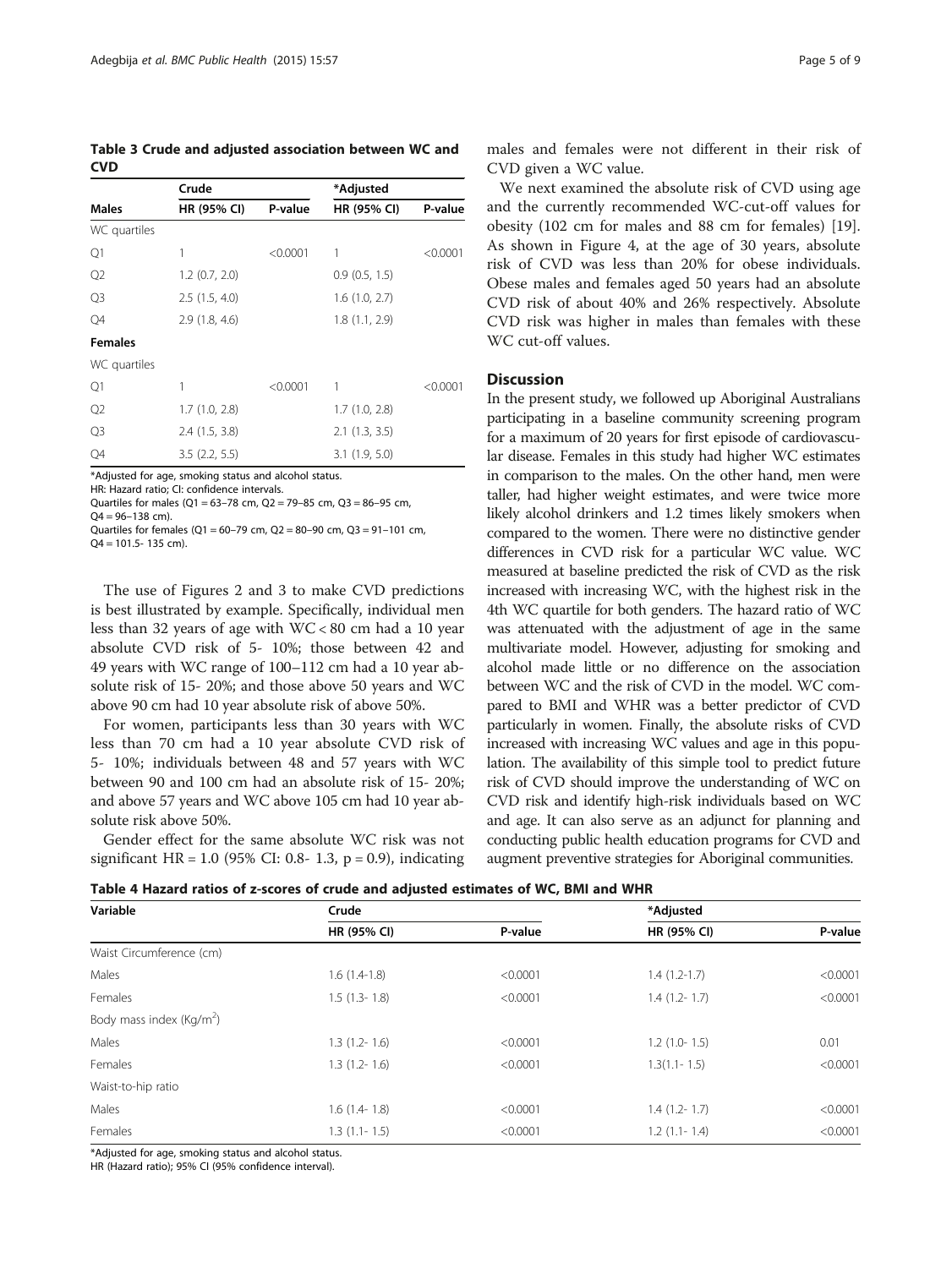<span id="page-4-0"></span>Table 3 Crude and adjusted association between WC and **CVD** 

|                | Crude            |          | *Adjusted          |          |
|----------------|------------------|----------|--------------------|----------|
| <b>Males</b>   | HR (95% CI)      | P-value  | HR (95% CI)        | P-value  |
| WC quartiles   |                  |          |                    |          |
| Q1             | 1                | < 0.0001 | 1                  | < 0.0001 |
| Q <sub>2</sub> | $1.2$ (0.7, 2.0) |          | $0.9$ $(0.5, 1.5)$ |          |
| Q3             | 2.5(1.5, 4.0)    |          | 1.6(1.0, 2.7)      |          |
| Q4             | 2.9(1.8, 4.6)    |          | 1.8(1.1, 2.9)      |          |
| <b>Females</b> |                  |          |                    |          |
| WC quartiles   |                  |          |                    |          |
| Q1             | 1                | < 0.0001 | 1                  | < 0.0001 |
| Q <sub>2</sub> | 1.7(1.0, 2.8)    |          | 1.7(1.0, 2.8)      |          |
| Q <sub>3</sub> | 2.4(1.5, 3.8)    |          | 2.1(1.3, 3.5)      |          |
| Q4             | 3.5(2.2, 5.5)    |          | 3.1(1.9, 5.0)      |          |
| . .            |                  |          |                    |          |

\*Adjusted for age, smoking status and alcohol status.

HR: Hazard ratio; CI: confidence intervals.

Quartiles for males (Q1 = 63–78 cm, Q2 = 79–85 cm, Q3 = 86–95 cm,  $Q4 = 96 - 138$  cm).

Quartiles for females (Q1 = 60–79 cm, Q2 = 80–90 cm, Q3 = 91–101 cm,  $Q4 = 101.5 - 135$  cm).

The use of Figures [2](#page-5-0) and [3](#page-5-0) to make CVD predictions is best illustrated by example. Specifically, individual men less than 32 years of age with WC < 80 cm had a 10 year absolute CVD risk of 5- 10%; those between 42 and 49 years with WC range of 100–112 cm had a 10 year absolute risk of 15- 20%; and those above 50 years and WC above 90 cm had 10 year absolute risk of above 50%.

For women, participants less than 30 years with WC less than 70 cm had a 10 year absolute CVD risk of 5- 10%; individuals between 48 and 57 years with WC between 90 and 100 cm had an absolute risk of 15- 20%; and above 57 years and WC above 105 cm had 10 year absolute risk above 50%.

Gender effect for the same absolute WC risk was not significant HR =  $1.0$  (95% CI: 0.8- 1.3, p = 0.9), indicating

males and females were not different in their risk of CVD given a WC value.

We next examined the absolute risk of CVD using age and the currently recommended WC-cut-off values for obesity (102 cm for males and 88 cm for females) [\[19](#page-8-0)]. As shown in Figure [4,](#page-6-0) at the age of 30 years, absolute risk of CVD was less than 20% for obese individuals. Obese males and females aged 50 years had an absolute CVD risk of about 40% and 26% respectively. Absolute CVD risk was higher in males than females with these WC cut-off values.

#### **Discussion**

In the present study, we followed up Aboriginal Australians participating in a baseline community screening program for a maximum of 20 years for first episode of cardiovascular disease. Females in this study had higher WC estimates in comparison to the males. On the other hand, men were taller, had higher weight estimates, and were twice more likely alcohol drinkers and 1.2 times likely smokers when compared to the women. There were no distinctive gender differences in CVD risk for a particular WC value. WC measured at baseline predicted the risk of CVD as the risk increased with increasing WC, with the highest risk in the 4th WC quartile for both genders. The hazard ratio of WC was attenuated with the adjustment of age in the same multivariate model. However, adjusting for smoking and alcohol made little or no difference on the association between WC and the risk of CVD in the model. WC compared to BMI and WHR was a better predictor of CVD particularly in women. Finally, the absolute risks of CVD increased with increasing WC values and age in this population. The availability of this simple tool to predict future risk of CVD should improve the understanding of WC on CVD risk and identify high-risk individuals based on WC and age. It can also serve as an adjunct for planning and conducting public health education programs for CVD and augment preventive strategies for Aboriginal communities.

Table 4 Hazard ratios of z-scores of crude and adjusted estimates of WC, BMI and WHR

| Variable                             | Crude            |          | *Adjusted        |          |
|--------------------------------------|------------------|----------|------------------|----------|
|                                      | HR (95% CI)      | P-value  | HR (95% CI)      | P-value  |
| Waist Circumference (cm)             |                  |          |                  |          |
| Males                                | $1.6(1.4-1.8)$   | < 0.0001 | $1.4(1.2-1.7)$   | < 0.0001 |
| Females                              | $1.5$ (1.3-1.8)  | < 0.0001 | $1.4(1.2-1.7)$   | < 0.0001 |
| Body mass index (Kg/m <sup>2</sup> ) |                  |          |                  |          |
| Males                                | $1.3(1.2 - 1.6)$ | < 0.0001 | $1.2$ (1.0-1.5)  | 0.01     |
| Females                              | $1.3(1.2 - 1.6)$ | < 0.0001 | $1.3(1.1 - 1.5)$ | < 0.0001 |
| Waist-to-hip ratio                   |                  |          |                  |          |
| Males                                | $1.6(1.4-1.8)$   | < 0.0001 | $1.4(1.2 - 1.7)$ | < 0.0001 |
| Females                              | $1.3(1.1 - 1.5)$ | < 0.0001 | $1.2(1.1 - 1.4)$ | < 0.0001 |

\*Adjusted for age, smoking status and alcohol status.

HR (Hazard ratio); 95% CI (95% confidence interval).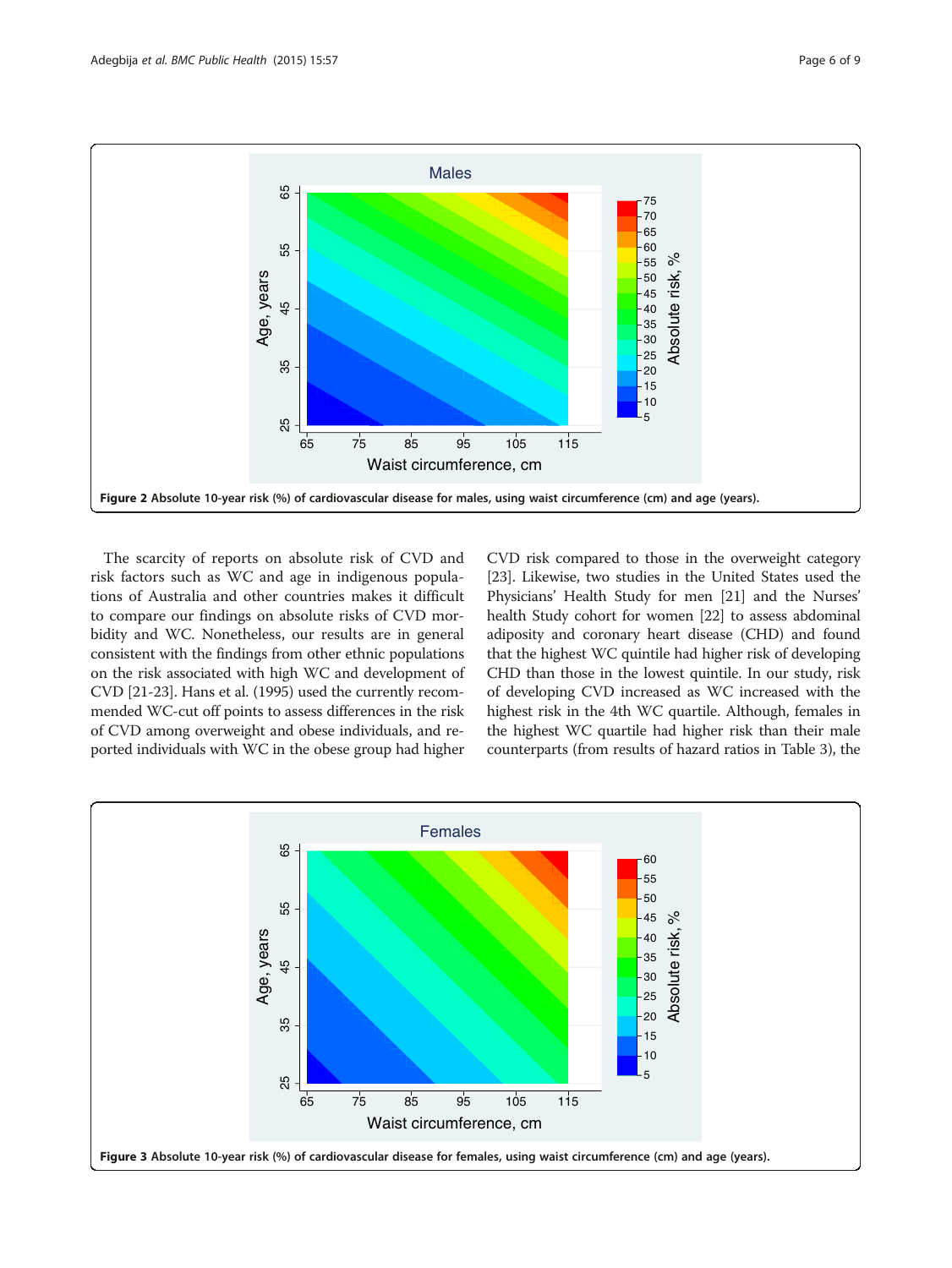<span id="page-5-0"></span>

The scarcity of reports on absolute risk of CVD and risk factors such as WC and age in indigenous populations of Australia and other countries makes it difficult to compare our findings on absolute risks of CVD morbidity and WC. Nonetheless, our results are in general consistent with the findings from other ethnic populations on the risk associated with high WC and development of CVD [\[21-23\]](#page-8-0). Hans et al. (1995) used the currently recommended WC-cut off points to assess differences in the risk of CVD among overweight and obese individuals, and reported individuals with WC in the obese group had higher

CVD risk compared to those in the overweight category [[23](#page-8-0)]. Likewise, two studies in the United States used the Physicians' Health Study for men [\[21\]](#page-8-0) and the Nurses' health Study cohort for women [[22](#page-8-0)] to assess abdominal adiposity and coronary heart disease (CHD) and found that the highest WC quintile had higher risk of developing CHD than those in the lowest quintile. In our study, risk of developing CVD increased as WC increased with the highest risk in the 4th WC quartile. Although, females in the highest WC quartile had higher risk than their male counterparts (from results of hazard ratios in Table [3](#page-4-0)), the

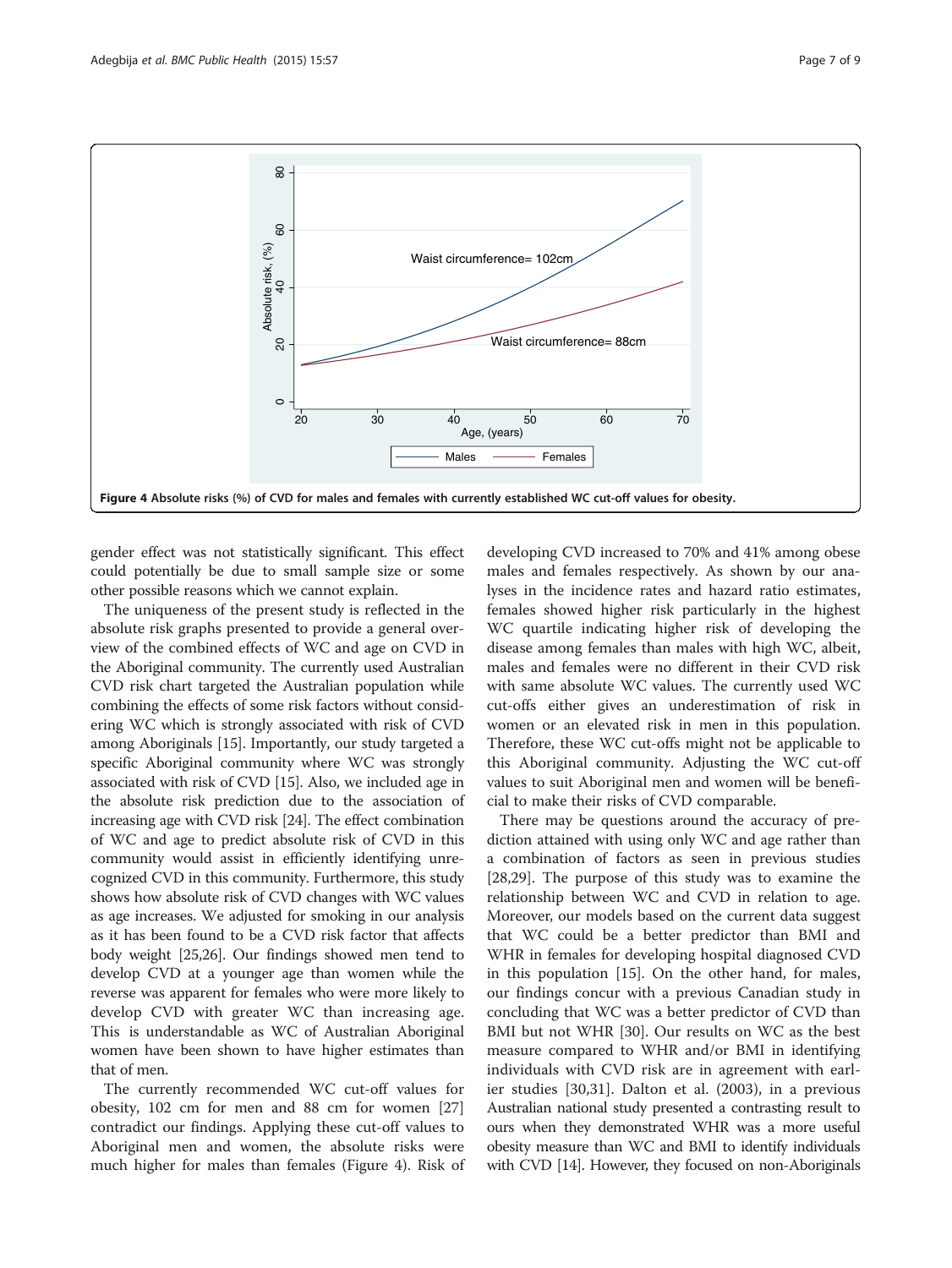<span id="page-6-0"></span>

gender effect was not statistically significant. This effect could potentially be due to small sample size or some other possible reasons which we cannot explain.

The uniqueness of the present study is reflected in the absolute risk graphs presented to provide a general overview of the combined effects of WC and age on CVD in the Aboriginal community. The currently used Australian CVD risk chart targeted the Australian population while combining the effects of some risk factors without considering WC which is strongly associated with risk of CVD among Aboriginals [\[15\]](#page-8-0). Importantly, our study targeted a specific Aboriginal community where WC was strongly associated with risk of CVD [[15\]](#page-8-0). Also, we included age in the absolute risk prediction due to the association of increasing age with CVD risk [[24](#page-8-0)]. The effect combination of WC and age to predict absolute risk of CVD in this community would assist in efficiently identifying unrecognized CVD in this community. Furthermore, this study shows how absolute risk of CVD changes with WC values as age increases. We adjusted for smoking in our analysis as it has been found to be a CVD risk factor that affects body weight [[25,26](#page-8-0)]. Our findings showed men tend to develop CVD at a younger age than women while the reverse was apparent for females who were more likely to develop CVD with greater WC than increasing age. This is understandable as WC of Australian Aboriginal women have been shown to have higher estimates than that of men.

The currently recommended WC cut-off values for obesity, 102 cm for men and 88 cm for women [[27](#page-8-0)] contradict our findings. Applying these cut-off values to Aboriginal men and women, the absolute risks were much higher for males than females (Figure 4). Risk of

developing CVD increased to 70% and 41% among obese males and females respectively. As shown by our analyses in the incidence rates and hazard ratio estimates, females showed higher risk particularly in the highest WC quartile indicating higher risk of developing the disease among females than males with high WC, albeit, males and females were no different in their CVD risk with same absolute WC values. The currently used WC cut-offs either gives an underestimation of risk in women or an elevated risk in men in this population. Therefore, these WC cut-offs might not be applicable to this Aboriginal community. Adjusting the WC cut-off values to suit Aboriginal men and women will be beneficial to make their risks of CVD comparable.

There may be questions around the accuracy of prediction attained with using only WC and age rather than a combination of factors as seen in previous studies [[28,29\]](#page-8-0). The purpose of this study was to examine the relationship between WC and CVD in relation to age. Moreover, our models based on the current data suggest that WC could be a better predictor than BMI and WHR in females for developing hospital diagnosed CVD in this population [[15](#page-8-0)]. On the other hand, for males, our findings concur with a previous Canadian study in concluding that WC was a better predictor of CVD than BMI but not WHR [[30\]](#page-8-0). Our results on WC as the best measure compared to WHR and/or BMI in identifying individuals with CVD risk are in agreement with earlier studies [[30,31](#page-8-0)]. Dalton et al. (2003), in a previous Australian national study presented a contrasting result to ours when they demonstrated WHR was a more useful obesity measure than WC and BMI to identify individuals with CVD [[14\]](#page-8-0). However, they focused on non-Aboriginals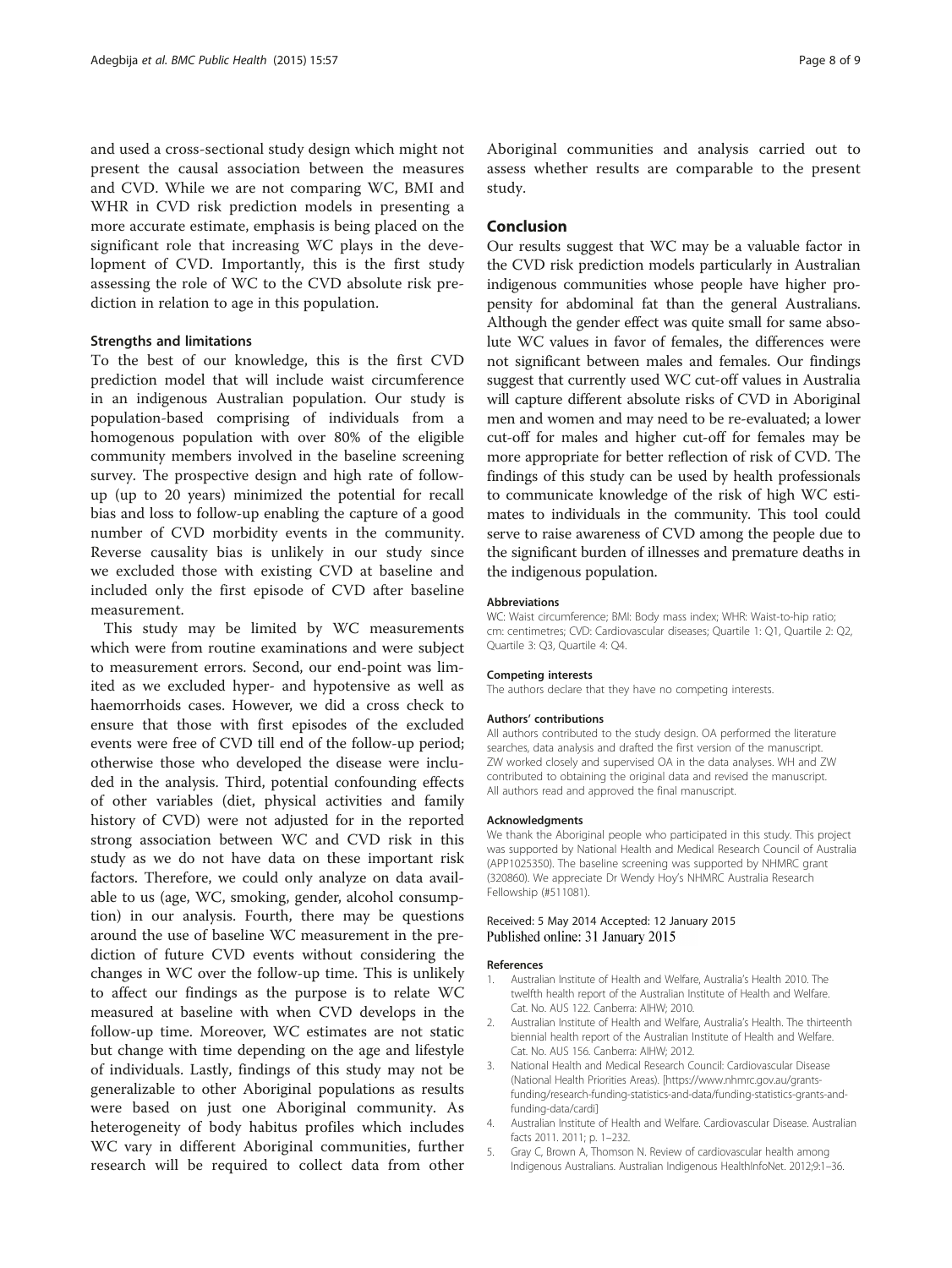<span id="page-7-0"></span>and used a cross-sectional study design which might not present the causal association between the measures and CVD. While we are not comparing WC, BMI and WHR in CVD risk prediction models in presenting a more accurate estimate, emphasis is being placed on the significant role that increasing WC plays in the development of CVD. Importantly, this is the first study assessing the role of WC to the CVD absolute risk prediction in relation to age in this population.

#### Strengths and limitations

To the best of our knowledge, this is the first CVD prediction model that will include waist circumference in an indigenous Australian population. Our study is population-based comprising of individuals from a homogenous population with over 80% of the eligible community members involved in the baseline screening survey. The prospective design and high rate of followup (up to 20 years) minimized the potential for recall bias and loss to follow-up enabling the capture of a good number of CVD morbidity events in the community. Reverse causality bias is unlikely in our study since we excluded those with existing CVD at baseline and included only the first episode of CVD after baseline measurement.

This study may be limited by WC measurements which were from routine examinations and were subject to measurement errors. Second, our end-point was limited as we excluded hyper- and hypotensive as well as haemorrhoids cases. However, we did a cross check to ensure that those with first episodes of the excluded events were free of CVD till end of the follow-up period; otherwise those who developed the disease were included in the analysis. Third, potential confounding effects of other variables (diet, physical activities and family history of CVD) were not adjusted for in the reported strong association between WC and CVD risk in this study as we do not have data on these important risk factors. Therefore, we could only analyze on data available to us (age, WC, smoking, gender, alcohol consumption) in our analysis. Fourth, there may be questions around the use of baseline WC measurement in the prediction of future CVD events without considering the changes in WC over the follow-up time. This is unlikely to affect our findings as the purpose is to relate WC measured at baseline with when CVD develops in the follow-up time. Moreover, WC estimates are not static but change with time depending on the age and lifestyle of individuals. Lastly, findings of this study may not be generalizable to other Aboriginal populations as results were based on just one Aboriginal community. As heterogeneity of body habitus profiles which includes WC vary in different Aboriginal communities, further research will be required to collect data from other

Aboriginal communities and analysis carried out to assess whether results are comparable to the present study.

#### Conclusion

Our results suggest that WC may be a valuable factor in the CVD risk prediction models particularly in Australian indigenous communities whose people have higher propensity for abdominal fat than the general Australians. Although the gender effect was quite small for same absolute WC values in favor of females, the differences were not significant between males and females. Our findings suggest that currently used WC cut-off values in Australia will capture different absolute risks of CVD in Aboriginal men and women and may need to be re-evaluated; a lower cut-off for males and higher cut-off for females may be more appropriate for better reflection of risk of CVD. The findings of this study can be used by health professionals to communicate knowledge of the risk of high WC estimates to individuals in the community. This tool could serve to raise awareness of CVD among the people due to the significant burden of illnesses and premature deaths in the indigenous population.

#### Abbreviations

WC: Waist circumference; BMI: Body mass index; WHR: Waist-to-hip ratio; cm: centimetres; CVD: Cardiovascular diseases; Quartile 1: Q1, Quartile 2: Q2, Quartile 3: Q3, Quartile 4: Q4.

#### Competing interests

The authors declare that they have no competing interests.

#### Authors' contributions

All authors contributed to the study design. OA performed the literature searches, data analysis and drafted the first version of the manuscript. ZW worked closely and supervised OA in the data analyses. WH and ZW contributed to obtaining the original data and revised the manuscript. All authors read and approved the final manuscript.

#### Acknowledgments

We thank the Aboriginal people who participated in this study. This project was supported by National Health and Medical Research Council of Australia (APP1025350). The baseline screening was supported by NHMRC grant (320860). We appreciate Dr Wendy Hoy's NHMRC Australia Research Fellowship (#511081).

#### Received: 5 May 2014 Accepted: 12 January 2015 Published online: 31 January 2015

#### References

- 1. Australian Institute of Health and Welfare, Australia's Health 2010. The twelfth health report of the Australian Institute of Health and Welfare. Cat. No. AUS 122. Canberra: AIHW; 2010.
- 2. Australian Institute of Health and Welfare, Australia's Health. The thirteenth biennial health report of the Australian Institute of Health and Welfare. Cat. No. AUS 156. Canberra: AIHW; 2012.
- 3. National Health and Medical Research Council: Cardiovascular Disease (National Health Priorities Areas). [[https://www.nhmrc.gov.au/grants](https://www.nhmrc.gov.au/grants-funding/research-funding-statistics-and-data/funding-statistics-grants-and-funding-data/cardi)[funding/research-funding-statistics-and-data/funding-statistics-grants-and](https://www.nhmrc.gov.au/grants-funding/research-funding-statistics-and-data/funding-statistics-grants-and-funding-data/cardi)[funding-data/cardi\]](https://www.nhmrc.gov.au/grants-funding/research-funding-statistics-and-data/funding-statistics-grants-and-funding-data/cardi)
- 4. Australian Institute of Health and Welfare. Cardiovascular Disease. Australian facts 2011. 2011; p. 1–232.
- 5. Gray C, Brown A, Thomson N. Review of cardiovascular health among Indigenous Australians. Australian Indigenous HealthInfoNet. 2012;9:1–36.